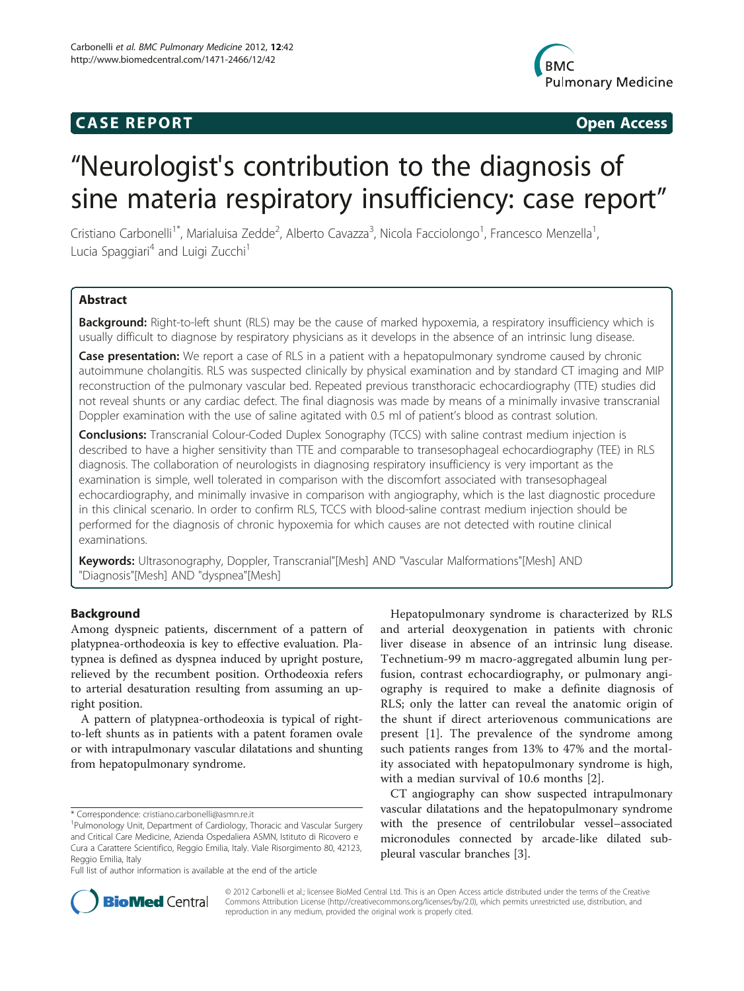# **CASE REPORT CASE REPORT**



# "Neurologist's contribution to the diagnosis of sine materia respiratory insufficiency: case report"

Cristiano Carbonelli<sup>1\*</sup>, Marialuisa Zedde<sup>2</sup>, Alberto Cavazza<sup>3</sup>, Nicola Facciolongo<sup>1</sup>, Francesco Menzella<sup>1</sup> , Lucia Spaggiari<sup>4</sup> and Luigi Zucchi<sup>1</sup>

# **Abstract**

Background: Right-to-left shunt (RLS) may be the cause of marked hypoxemia, a respiratory insufficiency which is usually difficult to diagnose by respiratory physicians as it develops in the absence of an intrinsic lung disease.

**Case presentation:** We report a case of RLS in a patient with a hepatopulmonary syndrome caused by chronic autoimmune cholangitis. RLS was suspected clinically by physical examination and by standard CT imaging and MIP reconstruction of the pulmonary vascular bed. Repeated previous transthoracic echocardiography (TTE) studies did not reveal shunts or any cardiac defect. The final diagnosis was made by means of a minimally invasive transcranial Doppler examination with the use of saline agitated with 0.5 ml of patient's blood as contrast solution.

**Conclusions:** Transcranial Colour-Coded Duplex Sonography (TCCS) with saline contrast medium injection is described to have a higher sensitivity than TTE and comparable to transesophageal echocardiography (TEE) in RLS diagnosis. The collaboration of neurologists in diagnosing respiratory insufficiency is very important as the examination is simple, well tolerated in comparison with the discomfort associated with transesophageal echocardiography, and minimally invasive in comparison with angiography, which is the last diagnostic procedure in this clinical scenario. In order to confirm RLS, TCCS with blood-saline contrast medium injection should be performed for the diagnosis of chronic hypoxemia for which causes are not detected with routine clinical examinations.

Keywords: Ultrasonography, Doppler, Transcranial"[Mesh] AND "Vascular Malformations"[Mesh] AND "Diagnosis"[Mesh] AND "dyspnea"[Mesh]

# Background

Among dyspneic patients, discernment of a pattern of platypnea-orthodeoxia is key to effective evaluation. Platypnea is defined as dyspnea induced by upright posture, relieved by the recumbent position. Orthodeoxia refers to arterial desaturation resulting from assuming an upright position.

A pattern of platypnea-orthodeoxia is typical of rightto-left shunts as in patients with a patent foramen ovale or with intrapulmonary vascular dilatations and shunting from hepatopulmonary syndrome.

Full list of author information is available at the end of the article

Hepatopulmonary syndrome is characterized by RLS and arterial deoxygenation in patients with chronic liver disease in absence of an intrinsic lung disease. Technetium-99 m macro-aggregated albumin lung perfusion, contrast echocardiography, or pulmonary angiography is required to make a definite diagnosis of RLS; only the latter can reveal the anatomic origin of the shunt if direct arteriovenous communications are present [\[1](#page-3-0)]. The prevalence of the syndrome among such patients ranges from 13% to 47% and the mortality associated with hepatopulmonary syndrome is high, with a median survival of 10.6 months [\[2](#page-3-0)].

CT angiography can show suspected intrapulmonary vascular dilatations and the hepatopulmonary syndrome with the presence of centrilobular vessel–associated micronodules connected by arcade-like dilated subpleural vascular branches [\[3](#page-3-0)].



© 2012 Carbonelli et al.; licensee BioMed Central Ltd. This is an Open Access article distributed under the terms of the Creative Commons Attribution License [\(http://creativecommons.org/licenses/by/2.0\)](http://creativecommons.org/licenses/by/2.0), which permits unrestricted use, distribution, and reproduction in any medium, provided the original work is properly cited.

<sup>\*</sup> Correspondence: [cristiano.carbonelli@asmn.re.it](mailto:cristiano.carbonelli@asmn.re.it) <sup>1</sup>

<sup>&</sup>lt;sup>1</sup>Pulmonology Unit, Department of Cardiology, Thoracic and Vascular Surgery and Critical Care Medicine, Azienda Ospedaliera ASMN, Istituto di Ricovero e Cura a Carattere Scientifico, Reggio Emilia, Italy. Viale Risorgimento 80, 42123, Reggio Emilia, Italy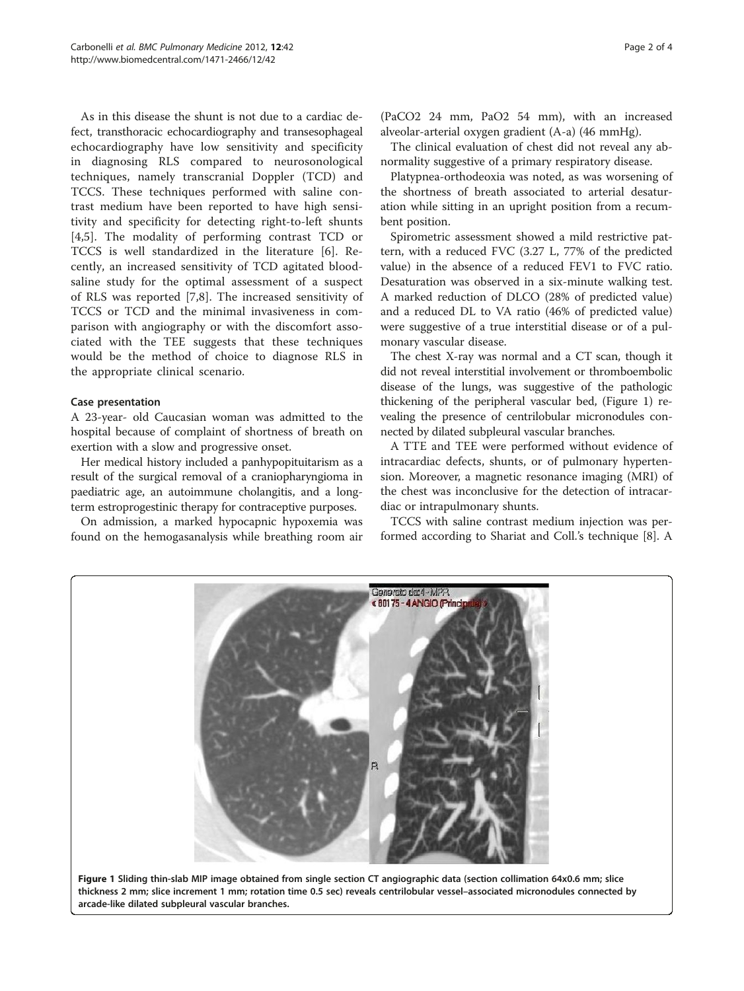As in this disease the shunt is not due to a cardiac defect, transthoracic echocardiography and transesophageal echocardiography have low sensitivity and specificity in diagnosing RLS compared to neurosonological techniques, namely transcranial Doppler (TCD) and TCCS. These techniques performed with saline contrast medium have been reported to have high sensitivity and specificity for detecting right-to-left shunts [[4,5](#page-3-0)]. The modality of performing contrast TCD or TCCS is well standardized in the literature [\[6](#page-3-0)]. Recently, an increased sensitivity of TCD agitated bloodsaline study for the optimal assessment of a suspect of RLS was reported [[7,8](#page-3-0)]. The increased sensitivity of TCCS or TCD and the minimal invasiveness in comparison with angiography or with the discomfort associated with the TEE suggests that these techniques would be the method of choice to diagnose RLS in the appropriate clinical scenario.

## Case presentation

A 23-year- old Caucasian woman was admitted to the hospital because of complaint of shortness of breath on exertion with a slow and progressive onset.

Her medical history included a panhypopituitarism as a result of the surgical removal of a craniopharyngioma in paediatric age, an autoimmune cholangitis, and a longterm estroprogestinic therapy for contraceptive purposes.

On admission, a marked hypocapnic hypoxemia was found on the hemogasanalysis while breathing room air

The clinical evaluation of chest did not reveal any abnormality suggestive of a primary respiratory disease.

Platypnea-orthodeoxia was noted, as was worsening of the shortness of breath associated to arterial desaturation while sitting in an upright position from a recumbent position.

Spirometric assessment showed a mild restrictive pattern, with a reduced FVC (3.27 L, 77% of the predicted value) in the absence of a reduced FEV1 to FVC ratio. Desaturation was observed in a six-minute walking test. A marked reduction of DLCO (28% of predicted value) and a reduced DL to VA ratio (46% of predicted value) were suggestive of a true interstitial disease or of a pulmonary vascular disease.

The chest X-ray was normal and a CT scan, though it did not reveal interstitial involvement or thromboembolic disease of the lungs, was suggestive of the pathologic thickening of the peripheral vascular bed, (Figure 1) revealing the presence of centrilobular micronodules connected by dilated subpleural vascular branches.

A TTE and TEE were performed without evidence of intracardiac defects, shunts, or of pulmonary hypertension. Moreover, a magnetic resonance imaging (MRI) of the chest was inconclusive for the detection of intracardiac or intrapulmonary shunts.

TCCS with saline contrast medium injection was performed according to Shariat and Coll.'s technique [[8\]](#page-3-0). A



Ganarato de: 4-MPR « 80175 - 4 ANGIO (Princip

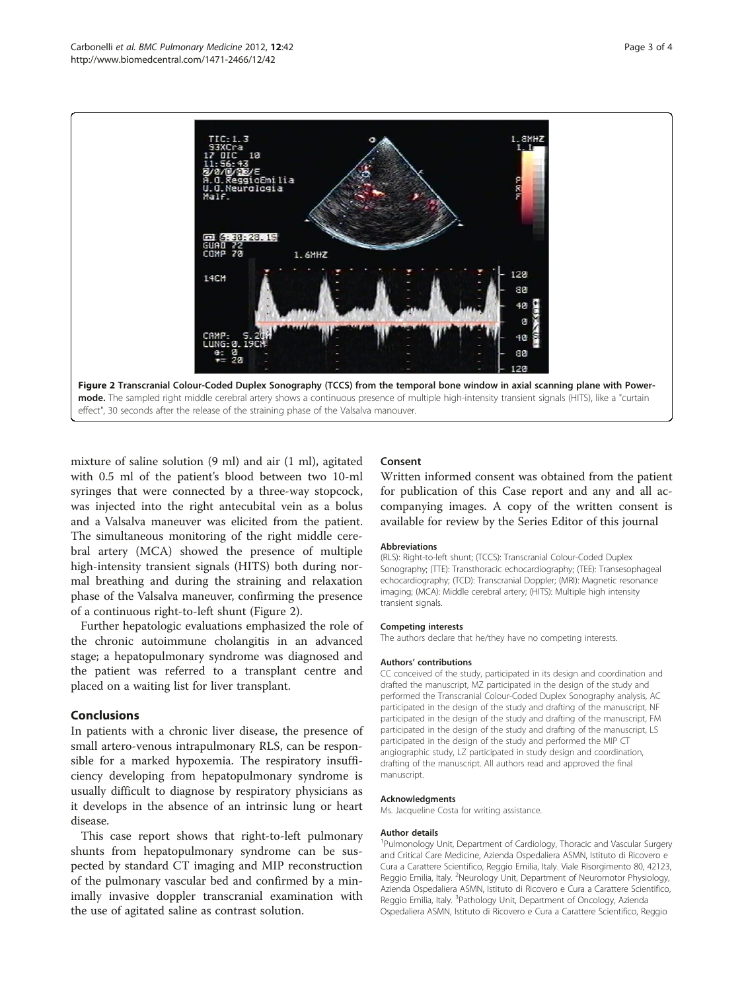

mixture of saline solution (9 ml) and air (1 ml), agitated with 0.5 ml of the patient's blood between two 10-ml syringes that were connected by a three-way stopcock, was injected into the right antecubital vein as a bolus and a Valsalva maneuver was elicited from the patient. The simultaneous monitoring of the right middle cerebral artery (MCA) showed the presence of multiple high-intensity transient signals (HITS) both during normal breathing and during the straining and relaxation phase of the Valsalva maneuver, confirming the presence of a continuous right-to-left shunt (Figure 2).

Further hepatologic evaluations emphasized the role of the chronic autoimmune cholangitis in an advanced stage; a hepatopulmonary syndrome was diagnosed and the patient was referred to a transplant centre and placed on a waiting list for liver transplant.

# Conclusions

In patients with a chronic liver disease, the presence of small artero-venous intrapulmonary RLS, can be responsible for a marked hypoxemia. The respiratory insufficiency developing from hepatopulmonary syndrome is usually difficult to diagnose by respiratory physicians as it develops in the absence of an intrinsic lung or heart disease.

This case report shows that right-to-left pulmonary shunts from hepatopulmonary syndrome can be suspected by standard CT imaging and MIP reconstruction of the pulmonary vascular bed and confirmed by a minimally invasive doppler transcranial examination with the use of agitated saline as contrast solution.

# Consent

Written informed consent was obtained from the patient for publication of this Case report and any and all accompanying images. A copy of the written consent is available for review by the Series Editor of this journal

#### **Abbreviations**

(RLS): Right-to-left shunt; (TCCS): Transcranial Colour-Coded Duplex Sonography; (TTE): Transthoracic echocardiography; (TEE): Transesophageal echocardiography; (TCD): Transcranial Doppler; (MRI): Magnetic resonance imaging; (MCA): Middle cerebral artery; (HITS): Multiple high intensity transient signals.

#### Competing interests

The authors declare that he/they have no competing interests.

#### Authors' contributions

CC conceived of the study, participated in its design and coordination and drafted the manuscript, MZ participated in the design of the study and performed the Transcranial Colour-Coded Duplex Sonography analysis, AC participated in the design of the study and drafting of the manuscript, NF participated in the design of the study and drafting of the manuscript, FM participated in the design of the study and drafting of the manuscript, LS participated in the design of the study and performed the MIP CT angiographic study, LZ participated in study design and coordination, drafting of the manuscript. All authors read and approved the final manuscript.

#### Acknowledgments

Ms. Jacqueline Costa for writing assistance.

#### Author details

<sup>1</sup>Pulmonology Unit, Department of Cardiology, Thoracic and Vascular Surgery and Critical Care Medicine, Azienda Ospedaliera ASMN, Istituto di Ricovero e Cura a Carattere Scientifico, Reggio Emilia, Italy. Viale Risorgimento 80, 42123, Reggio Emilia, Italy. <sup>2</sup>Neurology Unit, Department of Neuromotor Physiology, Azienda Ospedaliera ASMN, Istituto di Ricovero e Cura a Carattere Scientifico, Reggio Emilia, Italy. <sup>3</sup>Pathology Unit, Department of Oncology, Azienda Ospedaliera ASMN, Istituto di Ricovero e Cura a Carattere Scientifico, Reggio